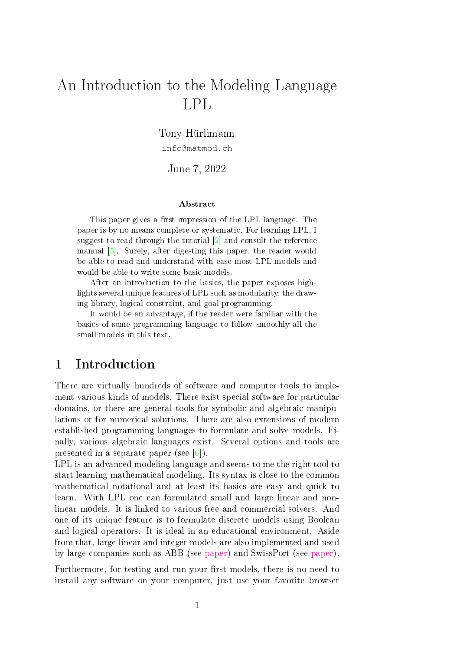# An Introduction to the Modeling Language LPL

Tony Hürlimann

info@matmod.ch

June 7, 2022

#### Abstract

This paper gives a first impression of the LPL language. The paper is by no means complete or systematic. For learning LPL, I suggest to read through the tutorial [\[2\]](#page-7-0) and consult the reference manual [\[5\]](#page-8-0). Surely, after digesting this paper, the reader would be able to read and understand with ease most LPL models and would be able to write some basic models.

After an introduction to the basics, the paper exposes highlights several unique features of LPL such as modularity, the drawing library, logical constraint, and goal programming.

It would be an advantage, if the reader were familiar with the basics of some programming language to follow smoothly all the small models in this text.

# 1 Introduction

There are virtually hundreds of software and computer tools to implement various kinds of models. There exist special software for particular domains, or there are general tools for symbolic and algebraic manipulations or for numerical solutions. There are also extensions of modern established programming languages to formulate and solve models. Finally, various algebraic languages exist. Several options and tools are presented in a separate paper (see [\[6\]](#page-8-1)).

LPL is an advanced modeling language and seems to me the right tool to start learning mathematical modeling. Its syntax is close to the common mathematical notational and at least its basics are easy and quick to learn. With LPL one can formulated small and large linear and nonlinear models. It is linked to various free and commercial solvers. And one of its unique feature is to formulate discrete models using Boolean and logical operators. It is ideal in an educational environment. Aside from that, large linear and integer models are also implemented and used by large companies such as ABB (see [paper\)](https://matmod.ch/lpl/doc/extern/ABB-cpmPlus.pdf) and SwissPort (see [paper\)](https://matmod.ch/lpl/doc/extern/IFORS-News-2019-12-01.pdf).

Furthermore, for testing and run your first models, there is no need to install any software on your computer, just use your favorite browser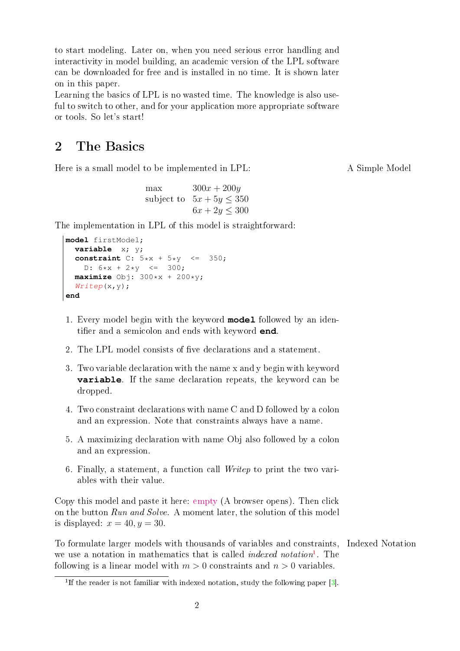to start modeling. Later on, when you need serious error handling and interactivity in model building, an academic version of the LPL software can be downloaded for free and is installed in no time. It is shown later on in this paper.

Learning the basics of LPL is no wasted time. The knowledge is also useful to switch to other, and for your application more appropriate software or tools. So let's start!

#### 2 The Basics

Here is a small model to be implemented in LPL: A Simple Model

max  $300x + 200y$ subject to  $5x + 5y \leq 350$  $6x + 2y \leq 300$ 

The implementation in LPL of this model is straightforward:

```
model firstModel;
  variable x; y;
  constraint C: 5*x + 5*y \leq 350;D: 6*x + 2*y \leq 300;maximize Obj: 300*x + 200*y;
  Writep(x, y);
end
```
- 1. Every model begin with the keyword **model** followed by an identifier and a semicolon and ends with keyword **end**.
- 2. The LPL model consists of five declarations and a statement.
- 3. Two variable declaration with the name x and y begin with keyword **variable**. If the same declaration repeats, the keyword can be dropped.
- 4. Two constraint declarations with name C and D followed by a colon and an expression. Note that constraints always have a name.
- 5. A maximizing declaration with name Obj also followed by a colon and an expression.
- 6. Finally, a statement, a function call Writep to print the two variables with their value.

Copy this model and paste it here: [empty](https://lpl.matmod.ch/lpl/Solver.jsp?name=/empty) (A browser opens). Then click on the button Run and Solve. A moment later, the solution of this model is displayed:  $x = 40, y = 30$ .

To formulate larger models with thousands of variables and constraints, Indexed Notation we use a notation in mathematics that is called *indexed notation*<sup>[1](#page-1-0)</sup>. The following is a linear model with  $m > 0$  constraints and  $n > 0$  variables.

<span id="page-1-0"></span><sup>&</sup>lt;sup>1</sup>If the reader is not familiar with indexed notation, study the following paper  $[3]$ .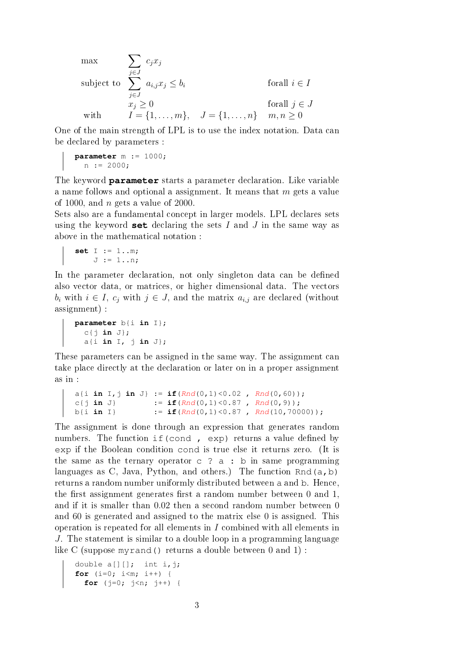$$
\begin{aligned}\n\max \qquad & \sum_{j \in J} c_j x_j \\
\text{subject to} \quad & \sum_{j \in J} a_{i,j} x_j \le b_i \\
& x_j \ge 0 \\
\text{with} \qquad & I = \{1, \dots, m\}, \quad J = \{1, \dots, n\} \quad m, n \ge 0\n\end{aligned}
$$

One of the main strength of LPL is to use the index notation. Data can be declared by parameters :

```
parameter m := 1000;
  n := 2000;
```
The keyword **parameter** starts a parameter declaration. Like variable a name follows and optional a assignment. It means that  $m$  gets a value of 1000, and  $n$  gets a value of 2000.

Sets also are a fundamental concept in larger models. LPL declares sets using the keyword **set** declaring the sets I and J in the same way as above in the mathematical notation :

```
set I := 1..m;
    J := 1...n;
```
In the parameter declaration, not only singleton data can be defined also vector data, or matrices, or higher dimensional data. The vectors  $b_i$  with  $i \in I$ ,  $c_j$  with  $j \in J$ , and the matrix  $a_{i,j}$  are declared (without assignment) :

```
parameter b{i in I};
 c{j in J};
  a{i in I, j in J};
```
These parameters can be assigned in the same way. The assignment can take place directly at the declaration or later on in a proper assignment as in :

```
a{i in I,j in J} := if(Rnd(0,1)<0.02 , Rnd(0,60));
c{j in J} := \textbf{if}(Rnd(0,1) < 0.87, Rnd(0,9));b{i in I} := \textbf{if}(Rnd(0,1) < 0.87, Rnd(10,70000));
```
The assignment is done through an expression that generates random numbers. The function if (cond , exp) returns a value defined by exp if the Boolean condition cond is true else it returns zero. (It is the same as the ternary operator  $c$  ? a : b in same programming languages as C, Java, Python, and others.) The function Rnd( $a, b$ ) returns a random number uniformly distributed between a and b. Hence, the first assignment generates first a random number between  $0$  and  $1$ , and if it is smaller than 0.02 then a second random number between 0 and 60 is generated and assigned to the matrix else 0 is assigned. This operation is repeated for all elements in I combined with all elements in J. The statement is similar to a double loop in a programming language like C (suppose myrand() returns a double between 0 and 1) :

```
double a[][]; int i,j;
for (i=0; i<m; i++) {
  for (j=0; j<n; j++) {
```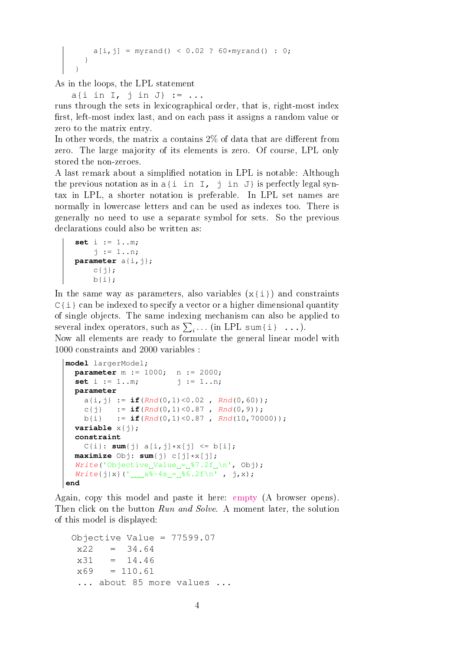```
a[i, j] = myrand() < 0.02 ? 60*myrand() : 0;}
}
```
As in the loops, the LPL statement

a{i in  $I$ ,  $\vdots$  in  $J$ } := ...

runs through the sets in lexicographical order, that is, right-most index first, left-most index last, and on each pass it assigns a random value or zero to the matrix entry.

In other words, the matrix a contains  $2\%$  of data that are different from zero. The large majority of its elements is zero. Of course, LPL only stored the non-zeroes.

A last remark about a simplied notation in LPL is notable: Although the previous notation as in  $a{i}$  in I, j in J is perfectly legal syntax in LPL, a shorter notation is preferable. In LPL set names are normally in lowercase letters and can be used as indexes too. There is generally no need to use a separate symbol for sets. So the previous declarations could also be written as:

```
set i := 1..m;
    j := 1..n;parameter a(i,j);c\{\dagger\};
    b(i);
```
In the same way as parameters, also variables  $(x \{i\})$  and constraints  $C{i}$  can be indexed to specify a vector or a higher dimensional quantity of single objects. The same indexing mechanism can also be applied to several index operators, such as  $\sum_i \ldots$  (in LPL sum{i} ...).

Now all elements are ready to formulate the general linear model with 1000 constraints and 2000 variables :

```
model largerModel;
  parameter m := 1000; n := 2000;
   set i := 1..m; <br> \vdots j := 1..n;
  parameter
     a\{i, j\} := \textbf{if}(Rnd(0,1) < 0.02, Rnd(0, 60);
     c{j} := \textbf{if}(Rnd(0,1) < 0.87, Rnd(0,9));
    b{i} := if(Rnd(0,1) < 0.87, Rnd(10,70000));
  variable x\{\dagger\};
  constraint
     C{i}: sum{j} a[i,j]*x[j] \le b[i];maximize Obj: sum{j} c[j]*x[j];
  Write('Objective_Vvalue_i = _s^87.2f_1\n n', obj);Write{j|x}('_{null}x^2-4s_{-}86.2f\n', j,x);end
```
Again, copy this model and paste it here: [empty](https://lpl.matmod.ch/lpl/Solver.jsp?name=/empty) (A browser opens). Then click on the button Run and Solve. A moment later, the solution of this model is displayed:

```
Objective Value = 77599.07
x22 = 34.64x31 = 14.46x69 = 110.61... about 85 more values ...
```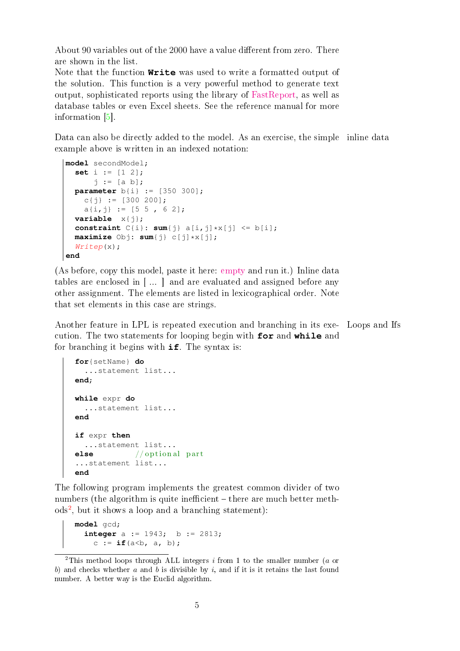About 90 variables out of the 2000 have a value different from zero. There are shown in the list.

Note that the function **Write** was used to write a formatted output of the solution. This function is a very powerful method to generate text output, sophisticated reports using the library of [FastReport,](https://www.fast-report.com/) as well as database tables or even Excel sheets. See the reference manual for more information [\[5\]](#page-8-0).

Data can also be directly added to the model. As an exercise, the simple inline data example above is written in an indexed notation:

```
model secondModel;
  set i := [1 2];
      j := [a b];parameter b{i} := [350 300];
    c{j} := [300 200];
    a[i, j] := [5 5, 6 2];variable x\{\dagger\};
  constraint C{i}: sum{j} a[i,j]*x[j] <= b[i];
  maximize Obj: sum{j} c[j]*x[j];
  Writep(x);end
```
(As before, copy this model, paste it here: [empty](https://lpl.matmod.ch/lpl/Solver.jsp?name=/empty) and run it.) Inline data tables are enclosed in [ ... ] and are evaluated and assigned before any other assignment. The elements are listed in lexicographical order. Note that set elements in this case are strings.

Another feature in LPL is repeated execution and branching in its exe- Loops and Ifs cution. The two statements for looping begin with **for** and **while** and for branching it begins with **if**. The syntax is:

```
for{setName} do
  ...statement list...
end;
while expr do
 ...statement list...
end
if expr then
 ...statement list...
else // optional part
...statement list...
end
```
The following program implements the greatest common divider of two numbers (the algorithm is quite inefficient  $-$  there are much better meth-ods<sup>[2](#page-4-0)</sup>, but it shows a loop and a branching statement):

```
model gcd;
  integer a := 1943; b := 2813;
    c := if(a<b, a, b);
```
<span id="page-4-0"></span><sup>&</sup>lt;sup>2</sup>This method loops through ALL integers  $i$  from 1 to the smaller number ( $a$  or b) and checks whether a and b is divisible by i, and if it is it retains the last found number. A better way is the Euclid algorithm.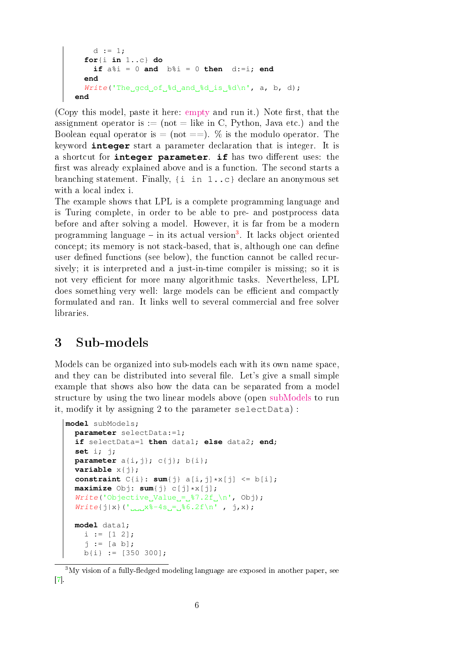```
d := 1;
  for{i in 1..c} do
    if a\i = 0 and b\i = 0 then d:=i; end
  end
  Write('The\_gcd_of _\delta d\_and \delta d\_is \delta d \n', a, b, d);end
```
(Copy this model, paste it here: [empty](https://lpl.matmod.ch/lpl/Solver.jsp?name=/empty) and run it.) Note first, that the assignment operator is := (not = like in C, Python, Java etc.) and the Boolean equal operator is  $=$  (not  $==$ ). % is the modulo operator. The keyword **integer** start a parameter declaration that is integer. It is a shortcut for **integer parameter**. **if** has two different uses: the first was already explained above and is a function. The second starts a branching statement. Finally,  $\{i \text{ in } 1..\}$ c $\}$  declare an anonymous set with a local index i.

The example shows that LPL is a complete programming language and is Turing complete, in order to be able to pre- and postprocess data before and after solving a model. However, it is far from be a modern programming language – in its actual version<sup>[3](#page-5-0)</sup>. It lacks object oriented concept; its memory is not stack-based, that is, although one can define user defined functions (see below), the function cannot be called recursively; it is interpreted and a just-in-time compiler is missing; so it is not very efficient for more many algorithmic tasks. Nevertheless, LPL does something very well: large models can be efficient and compactly formulated and ran. It links well to several commercial and free solver libraries.

## 3 Sub-models

Models can be organized into sub-models each with its own name space, and they can be distributed into several file. Let's give a small simple example that shows also how the data can be separated from a model structure by using the two linear models above (open [subModels](https://lpl.matmod.ch/lpl/Solver.jsp?name=/subModels) to run it, modify it by assigning 2 to the parameter selectData) :

```
model subModels;
  parameter selectData:=1;
  if selectData=1 then data1; else data2; end;
  set i; j;
  parameter a{i,j}; c{j}; b{i};
  variable x\{\dagger\};
  constraint C{i}: sum{j} a[i,j]*x[j] <= b[i];
  maximize Obj: sum{j} c[j]*x[j];
  Write('Objective_Value_i = _&37.2f_\\n', obj);Write{j|x}('_{max}8-4s_{i}=[86.2f\n', j,x);model data1;
    i := [1 2];j := [a b];b{i} := [350 300];
```
<span id="page-5-0"></span> $3$ My vision of a fully-fledged modeling language are exposed in another paper, see [\[7\]](#page-8-3).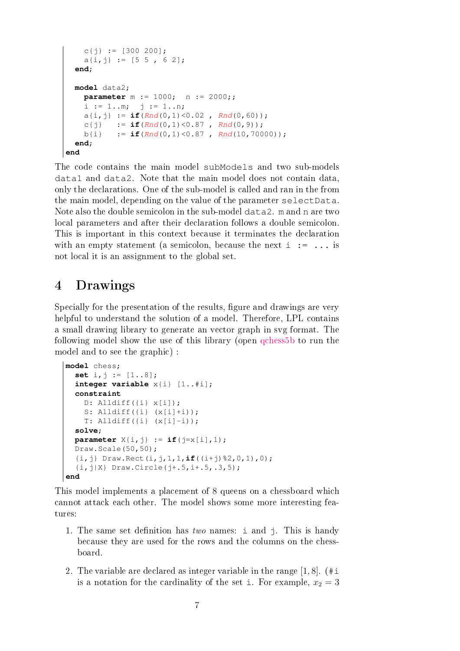```
c{j} := [300 200];
    a[i,j] := [5 5, 6 2];end;
  model data2;
    parameter m := 1000; n := 2000;;
    i := 1..m; \vdots := 1..n;
    a\{i, j\} := \textbf{if}(Rnd(0,1) < 0.02, Rnd(0, 60);
    c{j} := \textbf{if}(Rnd(0,1) < 0.87, Rnd(0,9));b{i} := \textbf{if}(Rnd(0,1) < 0.87, Rnd(10, 70000));end;
end
```
The code contains the main model subModels and two sub-models data1 and data2. Note that the main model does not contain data, only the declarations. One of the sub-model is called and ran in the from the main model, depending on the value of the parameter selectData. Note also the double semicolon in the sub-model data2. m and n are two local parameters and after their declaration follows a double semicolon. This is important in this context because it terminates the declaration with an empty statement (a semicolon, because the next  $i : = \ldots$  is not local it is an assignment to the global set.

#### 4 Drawings

Specially for the presentation of the results, figure and drawings are very helpful to understand the solution of a model. Therefore, LPL contains a small drawing library to generate an vector graph in svg format. The following model show the use of this library (open [qchess5b](https://lpl.matmod.ch/lpl/Solver.jsp?name=/qchess5b) to run the model and to see the graphic) :

```
model chess;
  set i,j := [1..8];
  integer variable x{i} [1..#i];
  constraint
    D: Alldiff(\{i\} \times [i]);
    S: Alldiff(\{i\} (x[i]+i));T: Alldiff(\{i\} (x[i]-i));solve;
  parameter X[i, j] := if(j=x[i], 1);
  Draw.Scale(50,50);
  {i,j} Draw.Rect(i,j,1,1,if((i+j)%2,0,1),0);
  {i, j|X} Draw. Circle(j+ .5, i+ .5, .3, 5);
end
```
This model implements a placement of 8 queens on a chessboard which cannot attack each other. The model shows some more interesting features:

- 1. The same set definition has two names: i and  $\dot{\uparrow}$ . This is handy because they are used for the rows and the columns on the chessboard.
- 2. The variable are declared as integer variable in the range  $[1, 8]$ . (#i is a notation for the cardinality of the set i. For example,  $x_2 = 3$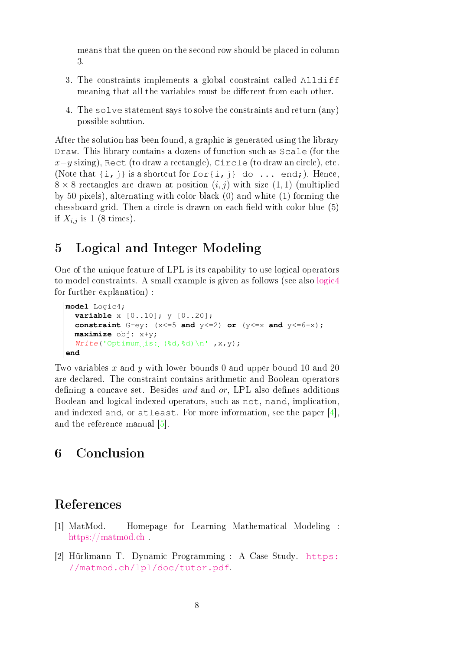means that the queen on the second row should be placed in column 3.

- 3. The constraints implements a global constraint called Alldiff meaning that all the variables must be different from each other.
- 4. The solve statement says to solve the constraints and return (any) possible solution.

After the solution has been found, a graphic is generated using the library Draw. This library contains a dozens of function such as Scale (for the  $x-y$  sizing), Rect (to draw a rectangle), Circle (to draw an circle), etc. (Note that  $\{i, j\}$  is a shortcut for  $\{i, j\}$  do ... end;). Hence,  $8 \times 8$  rectangles are drawn at position  $(i, j)$  with size  $(1, 1)$  (multiplied by 50 pixels), alternating with color black (0) and white (1) forming the chessboard grid. Then a circle is drawn on each field with color blue  $(5)$ if  $X_{i,j}$  is 1 (8 times).

#### 5 Logical and Integer Modeling

One of the unique feature of LPL is its capability to use logical operators to model constraints. A small example is given as follows (see also [logic4](https://lpl.matmod.ch/lpl/Solver.jsp?name=/logic4) for further explanation) :

```
model Logic4;
  variable x [0..10]; y [0..20];
  constraint Grey: (x \le -5 and y \le -2) or (y \le -x and y \le -6-x);
  maximize obj: x+y;
  Write('Optimum_is: (8d, 8d) \n\wedge' ' , x, y);end
```
Two variables x and y with lower bounds 0 and upper bound 10 and 20 are declared. The constraint contains arithmetic and Boolean operators defining a concave set. Besides and and or, LPL also defines additions Boolean and logical indexed operators, such as not, nand, implication, and indexed and, or atleast. For more information, see the paper [\[4\]](#page-8-4), and the reference manual [\[5\]](#page-8-0).

## 6 Conclusion

#### References

- [1] MatMod. Homepage for Learning Mathematical Modeling : <https://matmod.ch>.
- <span id="page-7-0"></span>[2] Hürlimann T. Dynamic Programming : A Case Study. [https:](https://matmod.ch/lpl/doc/tutor.pdf) [//matmod.ch/lpl/doc/tutor.pdf](https://matmod.ch/lpl/doc/tutor.pdf).